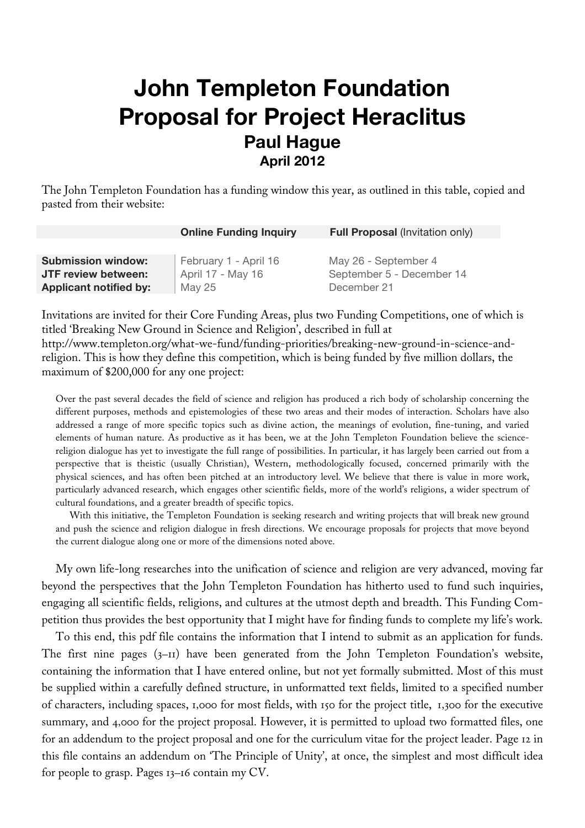# **John Templeton Foundation Proposal for Project Heraclitus Paul Hague April 2012**

The John Templeton Foundation has a funding window this year, as outlined in this table, copied and pasted from their website:

|                               | <b>Online Funding Inquiry</b> | <b>Full Proposal (Invitation only)</b> |
|-------------------------------|-------------------------------|----------------------------------------|
|                               |                               |                                        |
| <b>Submission window:</b>     | February 1 - April 16         | May 26 - September 4                   |
| JTF review between:           | April 17 - May 16             | September 5 - December 14              |
| <b>Applicant notified by:</b> | May 25                        | December 21                            |

Invitations are invited for their Core Funding Areas, plus two Funding Competitions, one of which is titled 'Breaking New Ground in Science and Religion', described in full at http://www.templeton.org/what-we-fund/funding-priorities/breaking-new-ground-in-science-andreligion. This is how they define this competition, which is being funded by five million dollars, the maximum of \$200,000 for any one project:

Over the past several decades the field of science and religion has produced a rich body of scholarship concerning the different purposes, methods and epistemologies of these two areas and their modes of interaction. Scholars have also addressed a range of more specific topics such as divine action, the meanings of evolution, fine-tuning, and varied elements of human nature. As productive as it has been, we at the John Templeton Foundation believe the sciencereligion dialogue has yet to investigate the full range of possibilities. In particular, it has largely been carried out from a perspective that is theistic (usually Christian), Western, methodologically focused, concerned primarily with the physical sciences, and has often been pitched at an introductory level. We believe that there is value in more work, particularly advanced research, which engages other scientific fields, more of the world's religions, a wider spectrum of cultural foundations, and a greater breadth of specific topics.

With this initiative, the Templeton Foundation is seeking research and writing projects that will break new ground and push the science and religion dialogue in fresh directions. We encourage proposals for projects that move beyond the current dialogue along one or more of the dimensions noted above.

My own life-long researches into the unification of science and religion are very advanced, moving far beyond the perspectives that the John Templeton Foundation has hitherto used to fund such inquiries, engaging all scientific fields, religions, and cultures at the utmost depth and breadth. This Funding Competition thus provides the best opportunity that I might have for finding funds to complete my life's work.

To this end, this pdf file contains the information that I intend to submit as an application for funds. The first nine pages (3–11) have been generated from the John Templeton Foundation's website, containing the information that I have entered online, but not yet formally submitted. Most of this must be supplied within a carefully defined structure, in unformatted text fields, limited to a specified number of characters, including spaces, 1,000 for most fields, with 150 for the project title, 1,300 for the executive summary, and 4,000 for the project proposal. However, it is permitted to upload two formatted files, one for an addendum to the project proposal and one for the curriculum vitae for the project leader. Page 12 in this file contains an addendum on 'The Principle of Unity', at once, the simplest and most difficult idea for people to grasp. Pages 13–16 contain my CV.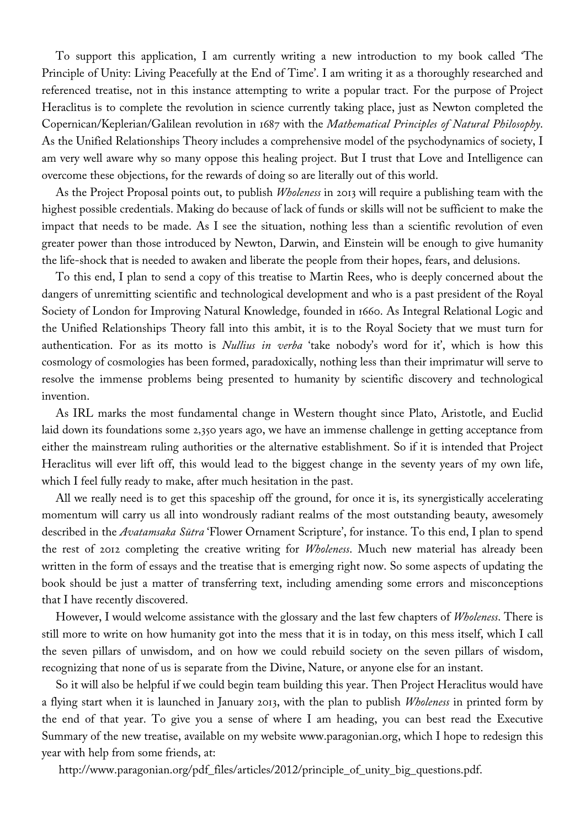To support this application, I am currently writing a new introduction to my book called 'The Principle of Unity: Living Peacefully at the End of Time'. I am writing it as a thoroughly researched and referenced treatise, not in this instance attempting to write a popular tract. For the purpose of Project Heraclitus is to complete the revolution in science currently taking place, just as Newton completed the Copernican/Keplerian/Galilean revolution in 1687 with the *Mathematical Principles of Natural Philosophy*. As the Unified Relationships Theory includes a comprehensive model of the psychodynamics of society, I am very well aware why so many oppose this healing project. But I trust that Love and Intelligence can overcome these objections, for the rewards of doing so are literally out of this world.

As the Project Proposal points out, to publish *Wholeness* in 2013 will require a publishing team with the highest possible credentials. Making do because of lack of funds or skills will not be sufficient to make the impact that needs to be made. As I see the situation, nothing less than a scientific revolution of even greater power than those introduced by Newton, Darwin, and Einstein will be enough to give humanity the life-shock that is needed to awaken and liberate the people from their hopes, fears, and delusions.

To this end, I plan to send a copy of this treatise to Martin Rees, who is deeply concerned about the dangers of unremitting scientific and technological development and who is a past president of the Royal Society of London for Improving Natural Knowledge, founded in 1660. As Integral Relational Logic and the Unified Relationships Theory fall into this ambit, it is to the Royal Society that we must turn for authentication. For as its motto is *Nullius in verba* 'take nobody's word for it', which is how this cosmology of cosmologies has been formed, paradoxically, nothing less than their imprimatur will serve to resolve the immense problems being presented to humanity by scientific discovery and technological invention.

As IRL marks the most fundamental change in Western thought since Plato, Aristotle, and Euclid laid down its foundations some 2,350 years ago, we have an immense challenge in getting acceptance from either the mainstream ruling authorities or the alternative establishment. So if it is intended that Project Heraclitus will ever lift off, this would lead to the biggest change in the seventy years of my own life, which I feel fully ready to make, after much hesitation in the past.

All we really need is to get this spaceship off the ground, for once it is, its synergistically accelerating momentum will carry us all into wondrously radiant realms of the most outstanding beauty, awesomely described in the *Avatamsaka Sūtra* 'Flower Ornament Scripture', for instance. To this end, I plan to spend the rest of 2012 completing the creative writing for *Wholeness*. Much new material has already been written in the form of essays and the treatise that is emerging right now. So some aspects of updating the book should be just a matter of transferring text, including amending some errors and misconceptions that I have recently discovered.

However, I would welcome assistance with the glossary and the last few chapters of *Wholeness*. There is still more to write on how humanity got into the mess that it is in today, on this mess itself, which I call the seven pillars of unwisdom, and on how we could rebuild society on the seven pillars of wisdom, recognizing that none of us is separate from the Divine, Nature, or anyone else for an instant.

So it will also be helpful if we could begin team building this year. Then Project Heraclitus would have a flying start when it is launched in January 2013, with the plan to publish *Wholeness* in printed form by the end of that year. To give you a sense of where I am heading, you can best read the Executive Summary of the new treatise, available on my website www.paragonian.org, which I hope to redesign this year with help from some friends, at:

http://www.paragonian.org/pdf\_files/articles/2012/principle\_of\_unity\_big\_questions.pdf.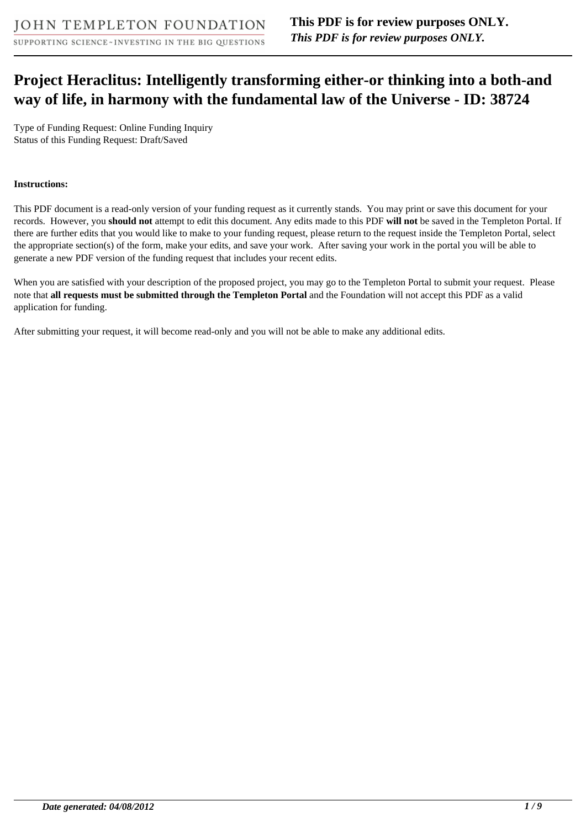# **Project Heraclitus: Intelligently transforming either-or thinking into a both-and way of life, in harmony with the fundamental law of the Universe - ID: 38724**

Type of Funding Request: Online Funding Inquiry Status of this Funding Request: Draft/Saved

### **Instructions:**

This PDF document is a read-only version of your funding request as it currently stands. You may print or save this document for your records. However, you **should not** attempt to edit this document. Any edits made to this PDF **will not** be saved in the Templeton Portal. If there are further edits that you would like to make to your funding request, please return to the request inside the Templeton Portal, select the appropriate section(s) of the form, make your edits, and save your work. After saving your work in the portal you will be able to generate a new PDF version of the funding request that includes your recent edits.

When you are satisfied with your description of the proposed project, you may go to the Templeton Portal to submit your request. Please note that **all requests must be submitted through the Templeton Portal** and the Foundation will not accept this PDF as a valid application for funding.

After submitting your request, it will become read-only and you will not be able to make any additional edits.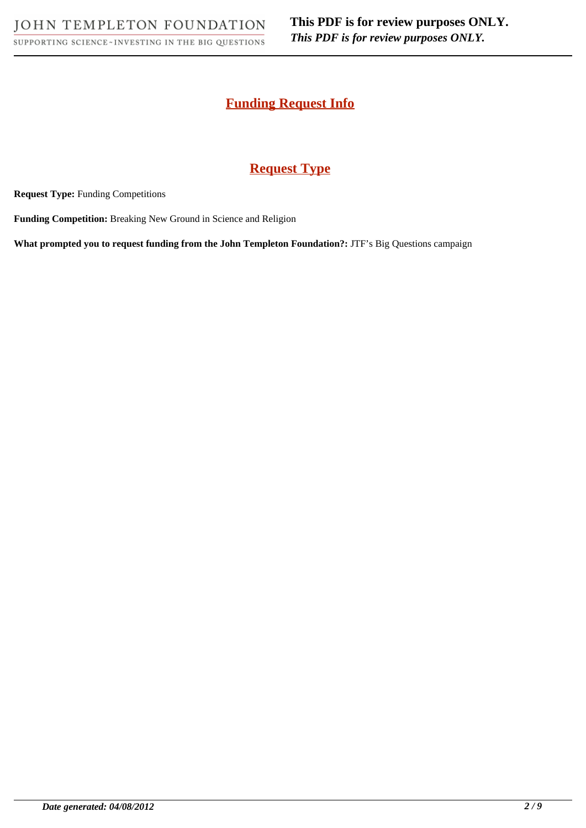# **Funding Request Info**

# **Request Type**

**Request Type:** Funding Competitions

**Funding Competition:** Breaking New Ground in Science and Religion

**What prompted you to request funding from the John Templeton Foundation?:** JTF's Big Questions campaign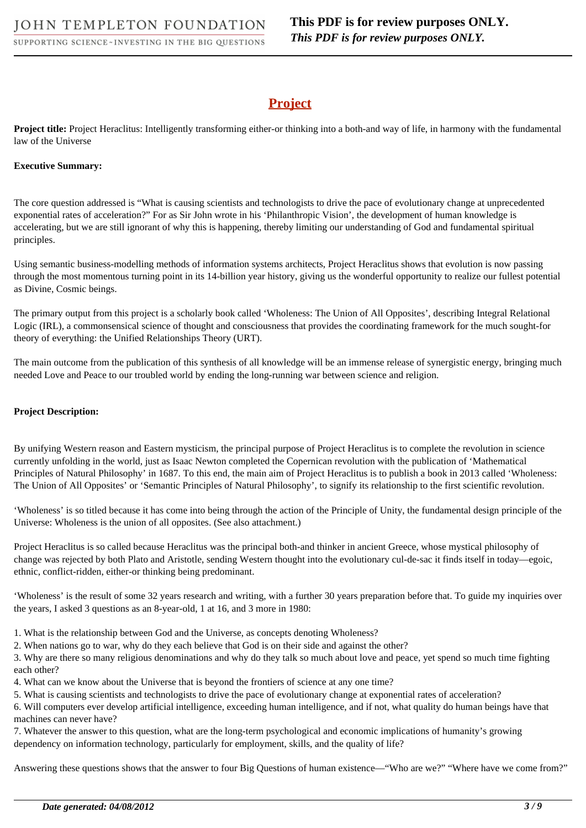# **Project**

**Project title:** Project Heraclitus: Intelligently transforming either-or thinking into a both-and way of life, in harmony with the fundamental law of the Universe

### **Executive Summary:**

The core question addressed is "What is causing scientists and technologists to drive the pace of evolutionary change at unprecedented exponential rates of acceleration?" For as Sir John wrote in his 'Philanthropic Vision', the development of human knowledge is accelerating, but we are still ignorant of why this is happening, thereby limiting our understanding of God and fundamental spiritual principles.

Using semantic business-modelling methods of information systems architects, Project Heraclitus shows that evolution is now passing through the most momentous turning point in its 14-billion year history, giving us the wonderful opportunity to realize our fullest potential as Divine, Cosmic beings.

The primary output from this project is a scholarly book called 'Wholeness: The Union of All Opposites', describing Integral Relational Logic (IRL), a commonsensical science of thought and consciousness that provides the coordinating framework for the much sought-for theory of everything: the Unified Relationships Theory (URT).

The main outcome from the publication of this synthesis of all knowledge will be an immense release of synergistic energy, bringing much needed Love and Peace to our troubled world by ending the long-running war between science and religion.

#### **Project Description:**

By unifying Western reason and Eastern mysticism, the principal purpose of Project Heraclitus is to complete the revolution in science currently unfolding in the world, just as Isaac Newton completed the Copernican revolution with the publication of 'Mathematical Principles of Natural Philosophy' in 1687. To this end, the main aim of Project Heraclitus is to publish a book in 2013 called 'Wholeness: The Union of All Opposites' or 'Semantic Principles of Natural Philosophy', to signify its relationship to the first scientific revolution.

'Wholeness' is so titled because it has come into being through the action of the Principle of Unity, the fundamental design principle of the Universe: Wholeness is the union of all opposites. (See also attachment.)

Project Heraclitus is so called because Heraclitus was the principal both-and thinker in ancient Greece, whose mystical philosophy of change was rejected by both Plato and Aristotle, sending Western thought into the evolutionary cul-de-sac it finds itself in today—egoic, ethnic, conflict-ridden, either-or thinking being predominant.

'Wholeness' is the result of some 32 years research and writing, with a further 30 years preparation before that. To guide my inquiries over the years, I asked 3 questions as an 8-year-old, 1 at 16, and 3 more in 1980:

- 1. What is the relationship between God and the Universe, as concepts denoting Wholeness?
- 2. When nations go to war, why do they each believe that God is on their side and against the other?

3. Why are there so many religious denominations and why do they talk so much about love and peace, yet spend so much time fighting each other?

- 4. What can we know about the Universe that is beyond the frontiers of science at any one time?
- 5. What is causing scientists and technologists to drive the pace of evolutionary change at exponential rates of acceleration?

6. Will computers ever develop artificial intelligence, exceeding human intelligence, and if not, what quality do human beings have that machines can never have?

7. Whatever the answer to this question, what are the long-term psychological and economic implications of humanity's growing dependency on information technology, particularly for employment, skills, and the quality of life?

Answering these questions shows that the answer to four Big Questions of human existence—"Who are we?" "Where have we come from?"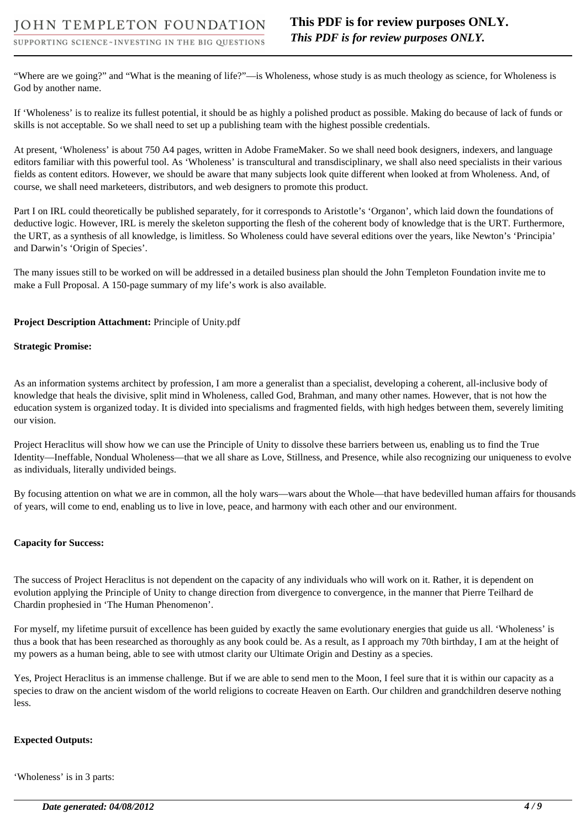"Where are we going?" and "What is the meaning of life?"—is Wholeness, whose study is as much theology as science, for Wholeness is God by another name.

If 'Wholeness' is to realize its fullest potential, it should be as highly a polished product as possible. Making do because of lack of funds or skills is not acceptable. So we shall need to set up a publishing team with the highest possible credentials.

At present, 'Wholeness' is about 750 A4 pages, written in Adobe FrameMaker. So we shall need book designers, indexers, and language editors familiar with this powerful tool. As 'Wholeness' is transcultural and transdisciplinary, we shall also need specialists in their various fields as content editors. However, we should be aware that many subjects look quite different when looked at from Wholeness. And, of course, we shall need marketeers, distributors, and web designers to promote this product.

Part I on IRL could theoretically be published separately, for it corresponds to Aristotle's 'Organon', which laid down the foundations of deductive logic. However, IRL is merely the skeleton supporting the flesh of the coherent body of knowledge that is the URT. Furthermore, the URT, as a synthesis of all knowledge, is limitless. So Wholeness could have several editions over the years, like Newton's 'Principia' and Darwin's 'Origin of Species'.

The many issues still to be worked on will be addressed in a detailed business plan should the John Templeton Foundation invite me to make a Full Proposal. A 150-page summary of my life's work is also available.

### **Project Description Attachment:** Principle of Unity.pdf

#### **Strategic Promise:**

As an information systems architect by profession, I am more a generalist than a specialist, developing a coherent, all-inclusive body of knowledge that heals the divisive, split mind in Wholeness, called God, Brahman, and many other names. However, that is not how the education system is organized today. It is divided into specialisms and fragmented fields, with high hedges between them, severely limiting our vision.

Project Heraclitus will show how we can use the Principle of Unity to dissolve these barriers between us, enabling us to find the True Identity—Ineffable, Nondual Wholeness—that we all share as Love, Stillness, and Presence, while also recognizing our uniqueness to evolve as individuals, literally undivided beings.

By focusing attention on what we are in common, all the holy wars—wars about the Whole—that have bedevilled human affairs for thousands of years, will come to end, enabling us to live in love, peace, and harmony with each other and our environment.

### **Capacity for Success:**

The success of Project Heraclitus is not dependent on the capacity of any individuals who will work on it. Rather, it is dependent on evolution applying the Principle of Unity to change direction from divergence to convergence, in the manner that Pierre Teilhard de Chardin prophesied in 'The Human Phenomenon'.

For myself, my lifetime pursuit of excellence has been guided by exactly the same evolutionary energies that guide us all. 'Wholeness' is thus a book that has been researched as thoroughly as any book could be. As a result, as I approach my 70th birthday, I am at the height of my powers as a human being, able to see with utmost clarity our Ultimate Origin and Destiny as a species.

Yes, Project Heraclitus is an immense challenge. But if we are able to send men to the Moon, I feel sure that it is within our capacity as a species to draw on the ancient wisdom of the world religions to cocreate Heaven on Earth. Our children and grandchildren deserve nothing less.

### **Expected Outputs:**

'Wholeness' is in 3 parts: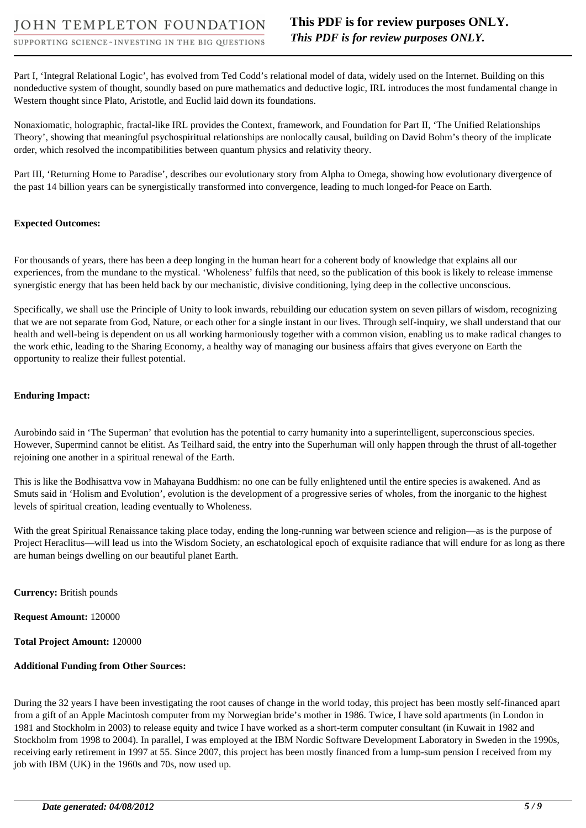Part I, 'Integral Relational Logic', has evolved from Ted Codd's relational model of data, widely used on the Internet. Building on this nondeductive system of thought, soundly based on pure mathematics and deductive logic, IRL introduces the most fundamental change in Western thought since Plato, Aristotle, and Euclid laid down its foundations.

Nonaxiomatic, holographic, fractal-like IRL provides the Context, framework, and Foundation for Part II, 'The Unified Relationships Theory', showing that meaningful psychospiritual relationships are nonlocally causal, building on David Bohm's theory of the implicate order, which resolved the incompatibilities between quantum physics and relativity theory.

Part III, 'Returning Home to Paradise', describes our evolutionary story from Alpha to Omega, showing how evolutionary divergence of the past 14 billion years can be synergistically transformed into convergence, leading to much longed-for Peace on Earth.

### **Expected Outcomes:**

For thousands of years, there has been a deep longing in the human heart for a coherent body of knowledge that explains all our experiences, from the mundane to the mystical. 'Wholeness' fulfils that need, so the publication of this book is likely to release immense synergistic energy that has been held back by our mechanistic, divisive conditioning, lying deep in the collective unconscious.

Specifically, we shall use the Principle of Unity to look inwards, rebuilding our education system on seven pillars of wisdom, recognizing that we are not separate from God, Nature, or each other for a single instant in our lives. Through self-inquiry, we shall understand that our health and well-being is dependent on us all working harmoniously together with a common vision, enabling us to make radical changes to the work ethic, leading to the Sharing Economy, a healthy way of managing our business affairs that gives everyone on Earth the opportunity to realize their fullest potential.

### **Enduring Impact:**

Aurobindo said in 'The Superman' that evolution has the potential to carry humanity into a superintelligent, superconscious species. However, Supermind cannot be elitist. As Teilhard said, the entry into the Superhuman will only happen through the thrust of all-together rejoining one another in a spiritual renewal of the Earth.

This is like the Bodhisattva vow in Mahayana Buddhism: no one can be fully enlightened until the entire species is awakened. And as Smuts said in 'Holism and Evolution', evolution is the development of a progressive series of wholes, from the inorganic to the highest levels of spiritual creation, leading eventually to Wholeness.

With the great Spiritual Renaissance taking place today, ending the long-running war between science and religion—as is the purpose of Project Heraclitus—will lead us into the Wisdom Society, an eschatological epoch of exquisite radiance that will endure for as long as there are human beings dwelling on our beautiful planet Earth.

**Currency:** British pounds

**Request Amount:** 120000

**Total Project Amount:** 120000

### **Additional Funding from Other Sources:**

During the 32 years I have been investigating the root causes of change in the world today, this project has been mostly self-financed apart from a gift of an Apple Macintosh computer from my Norwegian bride's mother in 1986. Twice, I have sold apartments (in London in 1981 and Stockholm in 2003) to release equity and twice I have worked as a short-term computer consultant (in Kuwait in 1982 and Stockholm from 1998 to 2004). In parallel, I was employed at the IBM Nordic Software Development Laboratory in Sweden in the 1990s, receiving early retirement in 1997 at 55. Since 2007, this project has been mostly financed from a lump-sum pension I received from my job with IBM (UK) in the 1960s and 70s, now used up.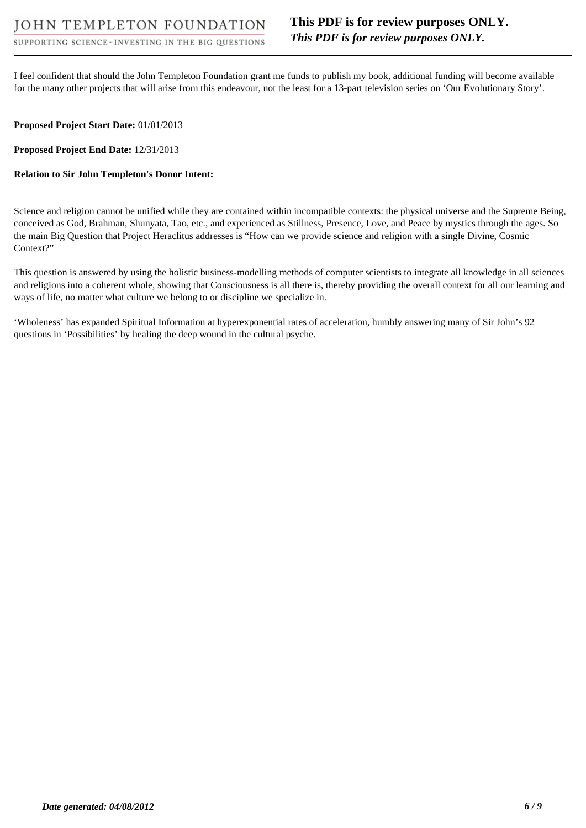I feel confident that should the John Templeton Foundation grant me funds to publish my book, additional funding will become available for the many other projects that will arise from this endeavour, not the least for a 13-part television series on 'Our Evolutionary Story'.

### **Proposed Project Start Date:** 01/01/2013

**Proposed Project End Date:** 12/31/2013

### **Relation to Sir John Templeton's Donor Intent:**

Science and religion cannot be unified while they are contained within incompatible contexts: the physical universe and the Supreme Being, conceived as God, Brahman, Shunyata, Tao, etc., and experienced as Stillness, Presence, Love, and Peace by mystics through the ages. So the main Big Question that Project Heraclitus addresses is "How can we provide science and religion with a single Divine, Cosmic Context?"

This question is answered by using the holistic business-modelling methods of computer scientists to integrate all knowledge in all sciences and religions into a coherent whole, showing that Consciousness is all there is, thereby providing the overall context for all our learning and ways of life, no matter what culture we belong to or discipline we specialize in.

'Wholeness' has expanded Spiritual Information at hyperexponential rates of acceleration, humbly answering many of Sir John's 92 questions in 'Possibilities' by healing the deep wound in the cultural psyche.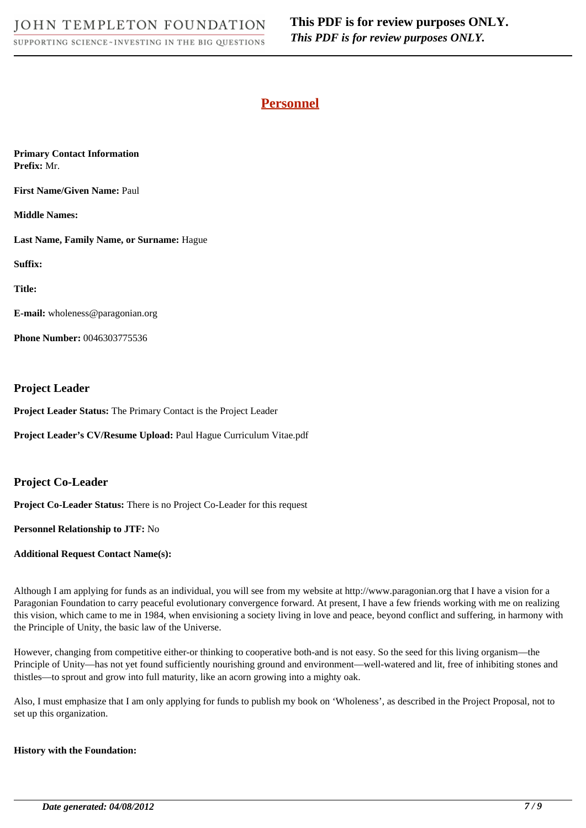# **Personnel**

**Primary Contact Information Prefix:** Mr.

**First Name/Given Name:** Paul

**Middle Names:** 

**Last Name, Family Name, or Surname:** Hague

**Suffix:** 

**Title:** 

**E-mail:** wholeness@paragonian.org

**Phone Number:** 0046303775536

### **Project Leader**

**Project Leader Status:** The Primary Contact is the Project Leader

**Project Leader's CV/Resume Upload:** Paul Hague Curriculum Vitae.pdf

### **Project Co-Leader**

**Project Co-Leader Status:** There is no Project Co-Leader for this request

**Personnel Relationship to JTF:** No

**Additional Request Contact Name(s):** 

Although I am applying for funds as an individual, you will see from my website at http://www.paragonian.org that I have a vision for a Paragonian Foundation to carry peaceful evolutionary convergence forward. At present, I have a few friends working with me on realizing this vision, which came to me in 1984, when envisioning a society living in love and peace, beyond conflict and suffering, in harmony with the Principle of Unity, the basic law of the Universe.

However, changing from competitive either-or thinking to cooperative both-and is not easy. So the seed for this living organism—the Principle of Unity—has not yet found sufficiently nourishing ground and environment—well-watered and lit, free of inhibiting stones and thistles—to sprout and grow into full maturity, like an acorn growing into a mighty oak.

Also, I must emphasize that I am only applying for funds to publish my book on 'Wholeness', as described in the Project Proposal, not to set up this organization.

### **History with the Foundation:**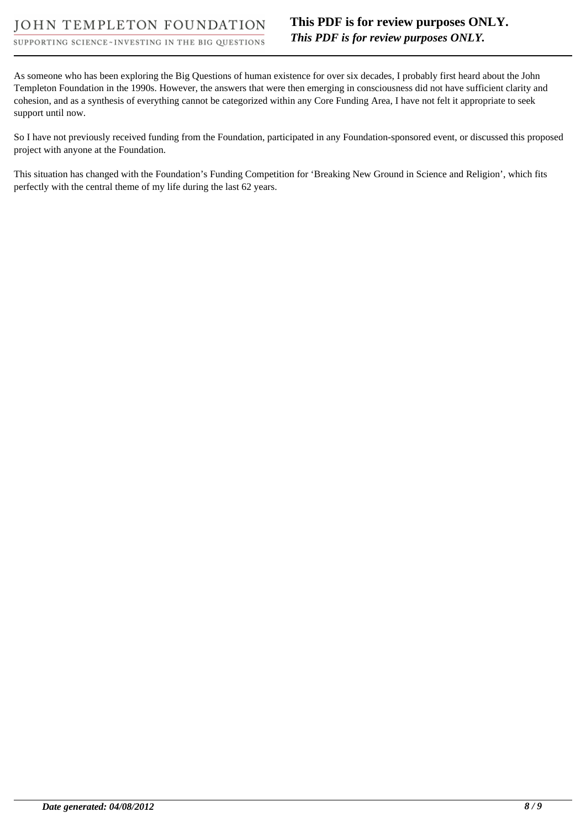As someone who has been exploring the Big Questions of human existence for over six decades, I probably first heard about the John Templeton Foundation in the 1990s. However, the answers that were then emerging in consciousness did not have sufficient clarity and cohesion, and as a synthesis of everything cannot be categorized within any Core Funding Area, I have not felt it appropriate to seek support until now.

So I have not previously received funding from the Foundation, participated in any Foundation-sponsored event, or discussed this proposed project with anyone at the Foundation.

This situation has changed with the Foundation's Funding Competition for 'Breaking New Ground in Science and Religion', which fits perfectly with the central theme of my life during the last 62 years.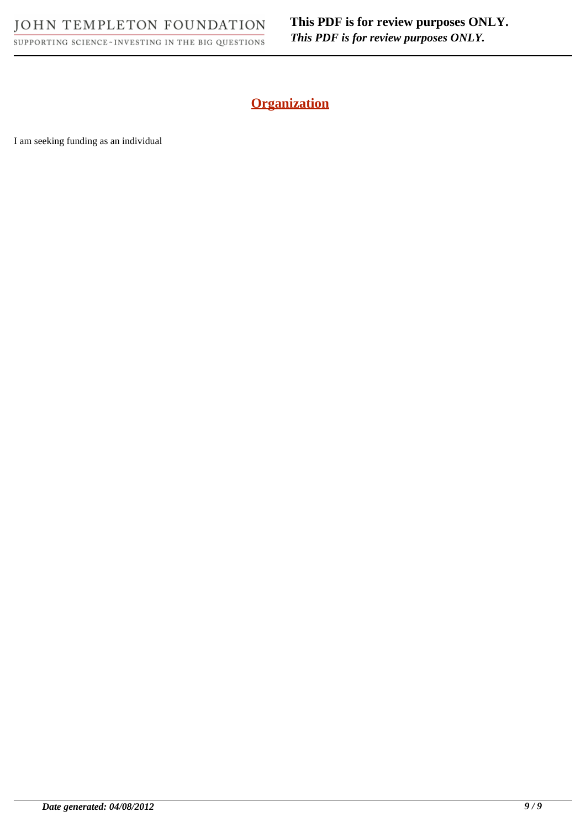JOHN TEMPLETON FOUNDATION SUPPORTING SCIENCE~INVESTING IN THE BIG QUESTIONS **This PDF is for review purposes ONLY.** *This PDF is for review purposes ONLY.*

# **Organization**

I am seeking funding as an individual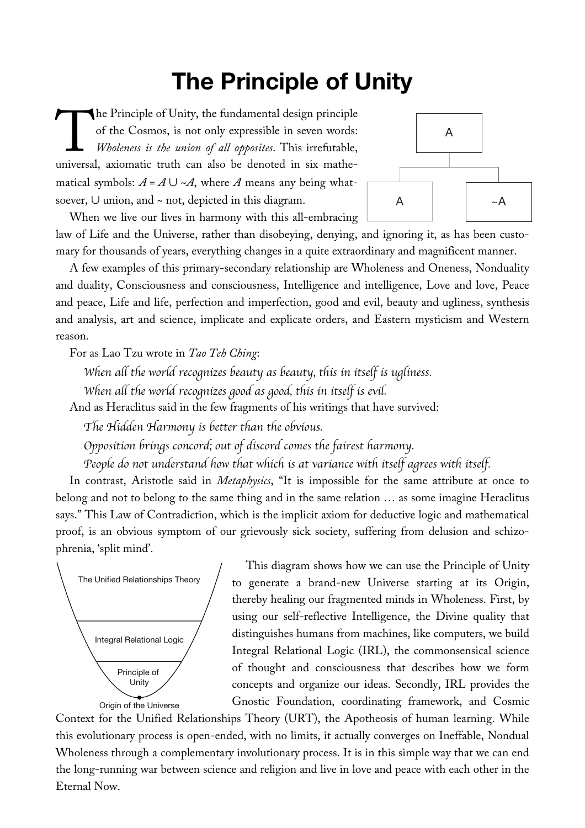# **The Principle of Unity**

he Principle of Unity, the fundamental design principle of the Cosmos, is not only expressible in seven words: *Wholeness is the union of all opposites*. This irrefutable, The Principle of Unity, the fundamental design principle<br>of the Cosmos, is not only expressible in seven words:<br>Wholeness is the union of all opposites. This irrefutable,<br>universal, axiomatic truth can also be denoted in s matical symbols:  $A = A \cup \sim A$ , where *A* means any being whatsoever, ∪ union, and ~ not, depicted in this diagram.



When we live our lives in harmony with this all-embracing law of Life and the Universe, rather than disobeying, denying, and ignoring it, as has been customary for thousands of years, everything changes in a quite extraordinary and magnificent manner.

A few examples of this primary-secondary relationship are Wholeness and Oneness, Nonduality and duality, Consciousness and consciousness, Intelligence and intelligence, Love and love, Peace and peace, Life and life, perfection and imperfection, good and evil, beauty and ugliness, synthesis and analysis, art and science, implicate and explicate orders, and Eastern mysticism and Western reason.

For as Lao Tzu wrote in *Tao Teh Ching*:

*When all the world recognizes beauty as beauty, this in itself is ugliness.*

*When all the world recognizes good as good, this in itself is evil.*

And as Heraclitus said in the few fragments of his writings that have survived:

*The Hidden Harmony is better than the obvious.*

*Opposition brings concord; out of discord comes the fairest harmony.*

*People do not understand how that which is at variance with itself agrees with itself.*

In contrast, Aristotle said in *Metaphysics*, "It is impossible for the same attribute at once to belong and not to belong to the same thing and in the same relation … as some imagine Heraclitus says." This Law of Contradiction, which is the implicit axiom for deductive logic and mathematical proof, is an obvious symptom of our grievously sick society, suffering from delusion and schizophrenia, 'split mind'.



This diagram shows how we can use the Principle of Unity to generate a brand-new Universe starting at its Origin, thereby healing our fragmented minds in Wholeness. First, by using our self-reflective Intelligence, the Divine quality that distinguishes humans from machines, like computers, we build Integral Relational Logic (IRL), the commonsensical science of thought and consciousness that describes how we form concepts and organize our ideas. Secondly, IRL provides the Gnostic Foundation, coordinating framework, and Cosmic

Context for the Unified Relationships Theory (URT), the Apotheosis of human learning. While this evolutionary process is open-ended, with no limits, it actually converges on Ineffable, Nondual Wholeness through a complementary involutionary process. It is in this simple way that we can end the long-running war between science and religion and live in love and peace with each other in the Eternal Now.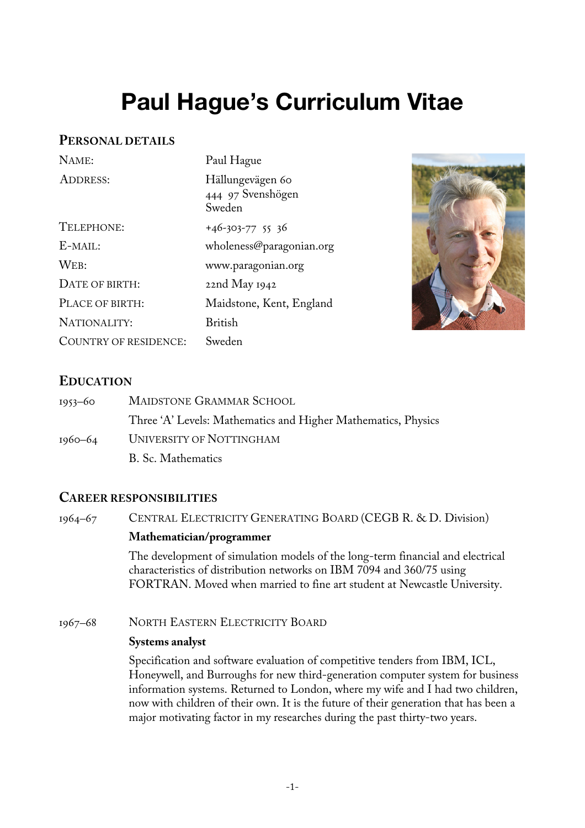# **Paul Hague's Curriculum Vitae**

# **PERSONAL DETAILS**

| NAME:                 | Paul Hague                                      |
|-----------------------|-------------------------------------------------|
| <b>ADDRESS:</b>       | Hällungevägen 60<br>444 97 Svenshögen<br>Sweden |
| TELEPHONE:            | $+46-303-775536$                                |
| E-MAIL:               | wholeness@paragonian.org                        |
| WEB:                  | www.paragonian.org                              |
| DATE OF BIRTH:        | 22nd May 1942                                   |
| PLACE OF BIRTH:       | Maidstone, Kent, England                        |
| NATIONALITY:          | British                                         |
| COUNTRY OF RESIDENCE: | Sweden                                          |



# **EDUCATION**

| $1953 - 60$ | <b>MAIDSTONE GRAMMAR SCHOOL</b>                               |
|-------------|---------------------------------------------------------------|
|             | Three 'A' Levels: Mathematics and Higher Mathematics, Physics |
| 1960–64     | UNIVERSITY OF NOTTINGHAM                                      |
|             | B. Sc. Mathematics                                            |

# **CAREER RESPONSIBILITIES**

1964–67 CENTRAL ELECTRICITY GENERATING BOARD (CEGB R. & D. Division) **Mathematician/programmer** The development of simulation models of the long-term financial and electrical characteristics of distribution networks on IBM 7094 and 360/75 using FORTRAN. Moved when married to fine art student at Newcastle University.

1967–68 NORTH EASTERN ELECTRICITY BOARD

### **Systems analyst**

Specification and software evaluation of competitive tenders from IBM, ICL, Honeywell, and Burroughs for new third-generation computer system for business information systems. Returned to London, where my wife and I had two children, now with children of their own. It is the future of their generation that has been a major motivating factor in my researches during the past thirty-two years.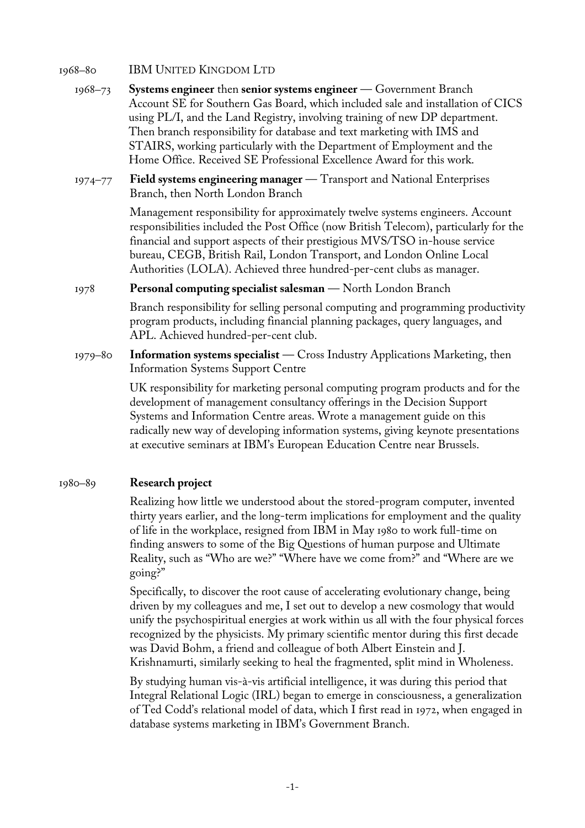### 1968–80 IBM UNITED KINGDOM LTD

- 1968–73 **Systems engineer** then **senior systems engineer** Government Branch Account SE for Southern Gas Board, which included sale and installation of CICS using PL/I, and the Land Registry, involving training of new DP department. Then branch responsibility for database and text marketing with IMS and STAIRS, working particularly with the Department of Employment and the Home Office. Received SE Professional Excellence Award for this work.
- 1974–77 **Field systems engineering manager** Transport and National Enterprises Branch, then North London Branch

Management responsibility for approximately twelve systems engineers. Account responsibilities included the Post Office (now British Telecom), particularly for the financial and support aspects of their prestigious MVS/TSO in-house service bureau, CEGB, British Rail, London Transport, and London Online Local Authorities (LOLA). Achieved three hundred-per-cent clubs as manager.

### 1978 **Personal computing specialist salesman** — North London Branch

Branch responsibility for selling personal computing and programming productivity program products, including financial planning packages, query languages, and APL. Achieved hundred-per-cent club.

1979–80 **Information systems specialist** — Cross Industry Applications Marketing, then Information Systems Support Centre

> UK responsibility for marketing personal computing program products and for the development of management consultancy offerings in the Decision Support Systems and Information Centre areas. Wrote a management guide on this radically new way of developing information systems, giving keynote presentations at executive seminars at IBM's European Education Centre near Brussels.

### 1980–89 **Research project**

Realizing how little we understood about the stored-program computer, invented thirty years earlier, and the long-term implications for employment and the quality of life in the workplace, resigned from IBM in May 1980 to work full-time on finding answers to some of the Big Questions of human purpose and Ultimate Reality, such as "Who are we?" "Where have we come from?" and "Where are we going?"

Specifically, to discover the root cause of accelerating evolutionary change, being driven by my colleagues and me, I set out to develop a new cosmology that would unify the psychospiritual energies at work within us all with the four physical forces recognized by the physicists. My primary scientific mentor during this first decade was David Bohm, a friend and colleague of both Albert Einstein and J. Krishnamurti, similarly seeking to heal the fragmented, split mind in Wholeness.

By studying human vis-à-vis artificial intelligence, it was during this period that Integral Relational Logic (IRL) began to emerge in consciousness, a generalization of Ted Codd's relational model of data, which I first read in 1972, when engaged in database systems marketing in IBM's Government Branch.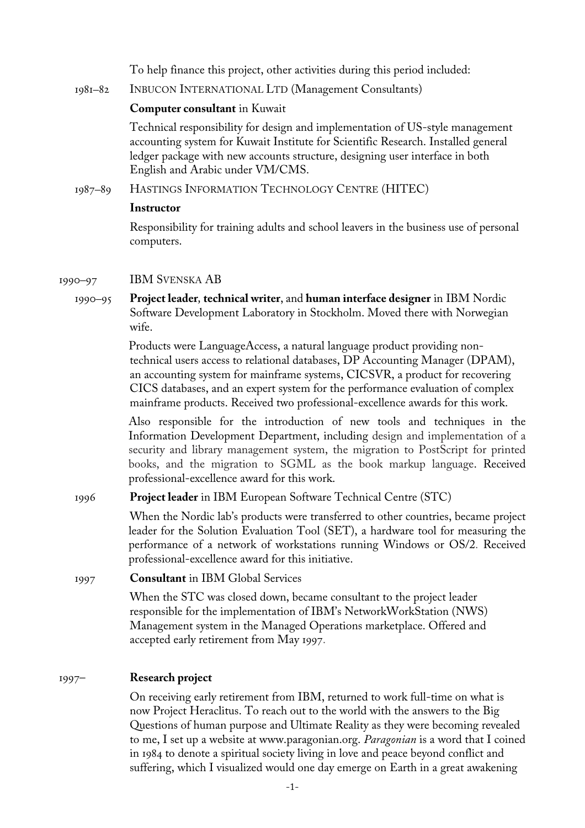To help finance this project, other activities during this period included:

1981–82 INBUCON INTERNATIONAL LTD (Management Consultants)

### **Computer consultant** in Kuwait

Technical responsibility for design and implementation of US-style management accounting system for Kuwait Institute for Scientific Research. Installed general ledger package with new accounts structure, designing user interface in both English and Arabic under VM/CMS.

1987–89 HASTINGS INFORMATION TECHNOLOGY CENTRE (HITEC)

### **Instructor**

Responsibility for training adults and school leavers in the business use of personal computers.

### 1990–97 IBM SVENSKA AB

1990–95 **Project leader***,* **technical writer**, and **human interface designer** in IBM Nordic Software Development Laboratory in Stockholm. Moved there with Norwegian wife.

> Products were LanguageAccess, a natural language product providing nontechnical users access to relational databases, DP Accounting Manager (DPAM), an accounting system for mainframe systems, CICSVR, a product for recovering CICS databases, and an expert system for the performance evaluation of complex mainframe products. Received two professional-excellence awards for this work.

Also responsible for the introduction of new tools and techniques in the Information Development Department, including design and implementation of a security and library management system, the migration to PostScript for printed books, and the migration to SGML as the book markup language. Received professional-excellence award for this work.

### 1996 **Project leader** in IBM European Software Technical Centre (STC)

When the Nordic lab's products were transferred to other countries, became project leader for the Solution Evaluation Tool (SET), a hardware tool for measuring the performance of a network of workstations running Windows or OS/2. Received professional-excellence award for this initiative.

### 1997 **Consultant** in IBM Global Services

When the STC was closed down, became consultant to the project leader responsible for the implementation of IBM's NetworkWorkStation (NWS) Management system in the Managed Operations marketplace. Offered and accepted early retirement from May 1997.

### 1997– **Research project**

On receiving early retirement from IBM, returned to work full-time on what is now Project Heraclitus. To reach out to the world with the answers to the Big Questions of human purpose and Ultimate Reality as they were becoming revealed to me, I set up a website at www.paragonian.org. *Paragonian* is a word that I coined in 1984 to denote a spiritual society living in love and peace beyond conflict and suffering, which I visualized would one day emerge on Earth in a great awakening